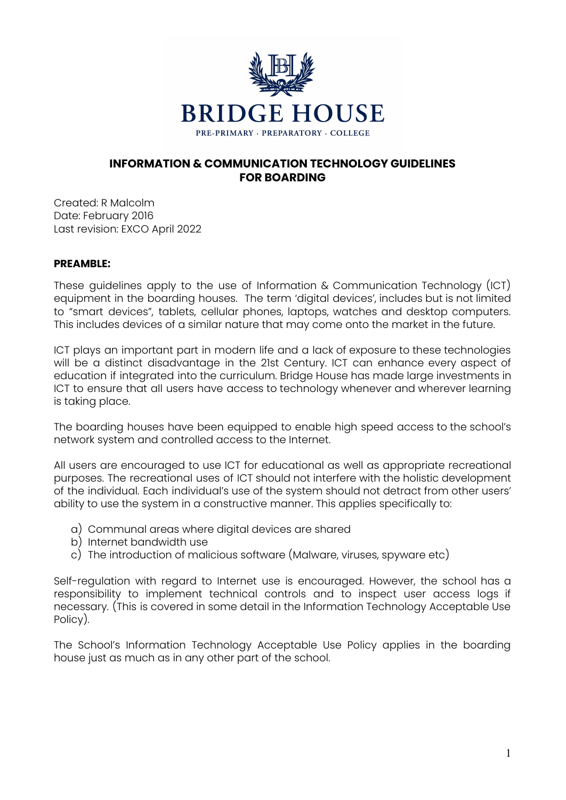

## **INFORMATION & COMMUNICATION TECHNOLOGY GUIDELINES FOR BOARDING**

Created: R Malcolm Date: February 2016 Last revision: EXCO April 2022

## **PREAMBLE:**

These guidelines apply to the use of Information & Communication Technology (ICT) equipment in the boarding houses. The term 'digital devices', includes but is not limited to "smart devices", tablets, cellular phones, laptops, watches and desktop computers. This includes devices of a similar nature that may come onto the market in the future.

ICT plays an important part in modern life and a lack of exposure to these technologies will be a distinct disadvantage in the 21st Century. ICT can enhance every aspect of education if integrated into the curriculum. Bridge House has made large investments in ICT to ensure that all users have access to technology whenever and wherever learning is taking place.

The boarding houses have been equipped to enable high speed access to the school's network system and controlled access to the Internet.

All users are encouraged to use ICT for educational as well as appropriate recreational purposes. The recreational uses of ICT should not interfere with the holistic development of the individual. Each individual's use of the system should not detract from other users' ability to use the system in a constructive manner. This applies specifically to:

- a) Communal areas where digital devices are shared
- b) Internet bandwidth use
- c) The introduction of malicious software (Malware, viruses, spyware etc)

Self-regulation with regard to Internet use is encouraged. However, the school has a responsibility to implement technical controls and to inspect user access logs if necessary. (This is covered in some detail in the Information Technology Acceptable Use Policy).

The School's Information Technology Acceptable Use Policy applies in the boarding house just as much as in any other part of the school.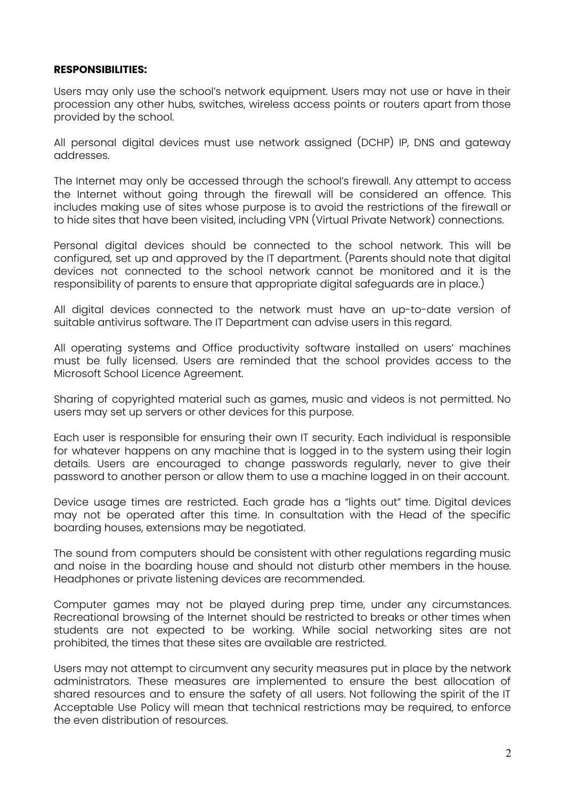## **RESPONSIBILITIES:**

Users may only use the school's network equipment. Users may not use or have in their procession any other hubs, switches, wireless access points or routers apart from those provided by the school.

All personal digital devices must use network assigned (DCHP) IP, DNS and gateway addresses.

The Internet may only be accessed through the school's firewall. Any attempt to access the Internet without going through the firewall will be considered an offence. This includes making use of sites whose purpose is to avoid the restrictions of the firewall or to hide sites that have been visited, including VPN (Virtual Private Network) connections.

Personal digital devices should be connected to the school network. This will be configured, set up and approved by the IT department. (Parents should note that digital devices not connected to the school network cannot be monitored and it is the responsibility of parents to ensure that appropriate digital safeguards are in place.)

All digital devices connected to the network must have an up-to-date version of suitable antivirus software. The IT Department can advise users in this regard.

All operating systems and Office productivity software installed on users' machines must be fully licensed. Users are reminded that the school provides access to the Microsoft School Licence Agreement.

Sharing of copyrighted material such as games, music and videos is not permitted. No users may set up servers or other devices for this purpose.

Each user is responsible for ensuring their own IT security. Each individual is responsible for whatever happens on any machine that is logged in to the system using their login details. Users are encouraged to change passwords regularly, never to give their password to another person or allow them to use a machine logged in on their account.

Device usage times are restricted. Each grade has a "lights out" time. Digital devices may not be operated after this time. In consultation with the Head of the specific boarding houses, extensions may be negotiated.

The sound from computers should be consistent with other regulations regarding music and noise in the boarding house and should not disturb other members in the house. Headphones or private listening devices are recommended.

Computer games may not be played during prep time, under any circumstances. Recreational browsing of the Internet should be restricted to breaks or other times when students are not expected to be working. While social networking sites are not prohibited, the times that these sites are available are restricted.

Users may not attempt to circumvent any security measures put in place by the network administrators. These measures are implemented to ensure the best allocation of shared resources and to ensure the safety of all users. Not following the spirit of the IT Acceptable Use Policy will mean that technical restrictions may be required, to enforce the even distribution of resources.